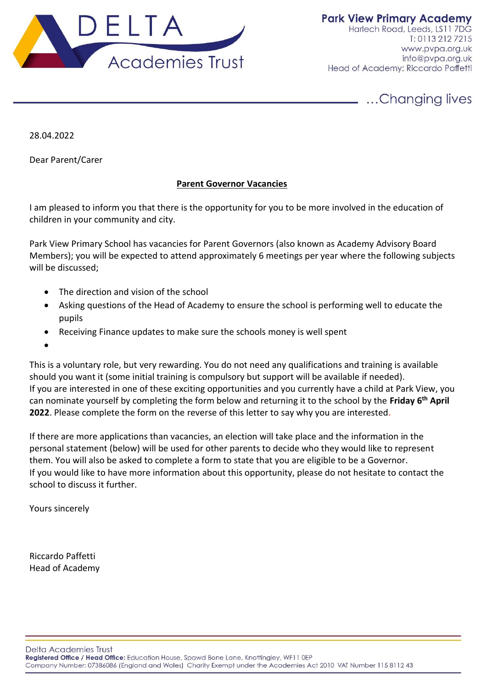

28.04.2022

Dear Parent/Carer

## **Parent Governor Vacancies**

I am pleased to inform you that there is the opportunity for you to be more involved in the education of children in your community and city.

Park View Primary School has vacancies for Parent Governors (also known as Academy Advisory Board Members); you will be expected to attend approximately 6 meetings per year where the following subjects will be discussed;

- The direction and vision of the school
- Asking questions of the Head of Academy to ensure the school is performing well to educate the pupils
- Receiving Finance updates to make sure the schools money is well spent
- •

This is a voluntary role, but very rewarding. You do not need any qualifications and training is available should you want it (some initial training is compulsory but support will be available if needed). If you are interested in one of these exciting opportunities and you currently have a child at Park View, you can nominate yourself by completing the form below and returning it to the school by the **Friday 6th April 2022**. Please complete the form on the reverse of this letter to say why you are interested.

If there are more applications than vacancies, an election will take place and the information in the personal statement (below) will be used for other parents to decide who they would like to represent them. You will also be asked to complete a form to state that you are eligible to be a Governor. If you would like to have more information about this opportunity, please do not hesitate to contact the school to discuss it further.

Yours sincerely

Riccardo Paffetti Head of Academy

Delta Academies Trust

Registered Office / Head Office: Education House, Spawd Bone Lane, Knottingley, WF11 0EP

Company Number: 07386086 (England and Wales) Charity Exempt under the Academies Act 2010 VAT Number 115 8112 43